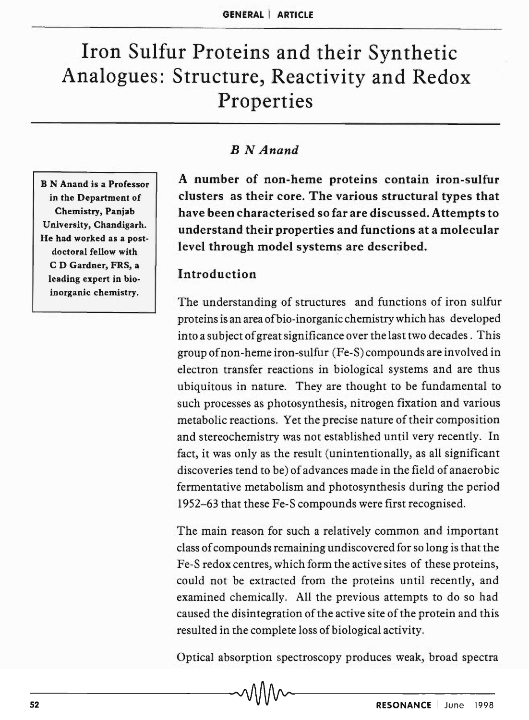# Iron Sulfur Proteins and their Synthetic Analogues: Structure, Reactivity and Redox Properties

B N Anand is a Professor in the Department of Chemistry, Panjab University, Chandigarh. He had worked as a postdoctoral fellow with C D Gardner, FRS, a leading expert in bioinorganic chemistry.

# *B N Anand*

A number of non-heme proteins contain iron-sulfur clusters as their core. The various structural types that have been characterised so far are discussed. Attempts to understand their properties and functions at a molecular level through model systems are described.

### Introduction

The understanding of structures and functions of iron sulfur proteins is an area ofbio-inorganic chemistry which has developed into a subject of great significance over the last two decades. This group of non-heme iron-sulfur (Fe-S) compounds are involved in electron transfer reactions in biological systems and are thus ubiquitous in nature. They are thought to be fundamental to such processes as photosynthesis, nitrogen fixation and various metabolic reactions. Yet the precise nature of their composition and stereochemistry was not established until very recently. In fact, it was only as the result (unintentionally, as all significant discoveries tend to be) of advances made in the field of anaerobic fermentative metabolism and photosynthesis during the period 1952-63 that these Fe-S compounds were first recognised.

The main reason for such a relatively common and important class of compounds remaining undiscovered for so long is that the Fe-S redox centres, which form the active sites of these proteins, could not be extracted from the proteins until recently, and examined chemically. All the previous attempts to do so had caused the disintegration of the active site of the protein and this resulted in the complete loss of biological activity.

Optical absorption spectroscopy produces weak, broad spectra

 $\sim$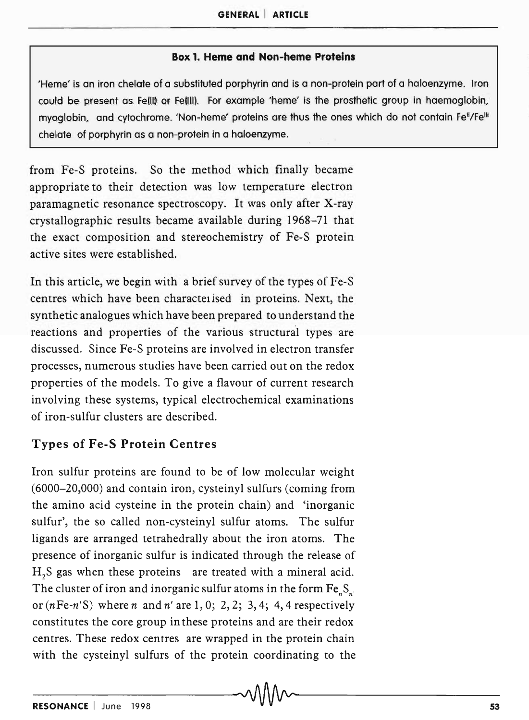#### Box 1. Heme and Non-heme Proteins

'Heme' is an iron chelate of a substituted porphyrin and is a non-protein part of a holoenzyme. Iron could be present as Fe(II) or Fe(III). For example 'heme' is the prosthetic group in haemoglobin, myoglobin, and cytochrome. 'Non-heme' proteins are thus the ones which do not contain Fe<sup>ll</sup>/Fe<sup>lli</sup> chelate of porphyrin as a non-protein in a holoenzyme.

from Fe-S proteins. So the method which finally became appropriate to their detection was low temperature electron paramagnetic resonance spectroscopy. It was only after X-ray crystallographic results became available during 1968-71 that the exact composition and stereochemistry of Fe-S protein active sites were established.

In this article, we begin with a brief survey of the types of Fe-S centres which have been charactelised in proteins. Next, the synthetic analogues which have been prepared to understand the reactions and properties of the various structural types are discussed. Since Fe-S proteins are involved in electron transfer processes, numerous studies have been carried out on the redox properties of the models. To give a flavour of current research involving these systems, typical electrochemical examinations of iron-sulfur clusters are described.

#### Types of Fe-S Protein Centres

Iron sulfur proteins are found to be of low molecular weight (6000-20,000) and contain iron, cysteinyl sulfurs (coming from the amino acid cysteine in the protein chain) and 'inorganic sulfur', the so called non-cysteinyl sulfur atoms. The sulfur ligands are arranged tetrahedrally about the iron atoms. The presence of inorganic sulfur is indicated through the release of  $H<sub>2</sub>S$  gas when these proteins are treated with a mineral acid. The cluster of iron and inorganic sulfur atoms in the form Fe<sub>n</sub>S<sub>n</sub>, or  $(nFe-n'S)$  where n and n' are 1, 0; 2, 2; 3, 4; 4, 4 respectively constitutes the core group in these proteins and are their redox centres. These redox centres are wrapped in the protein chain with the cysteinyl sulfurs of the protein coordinating to the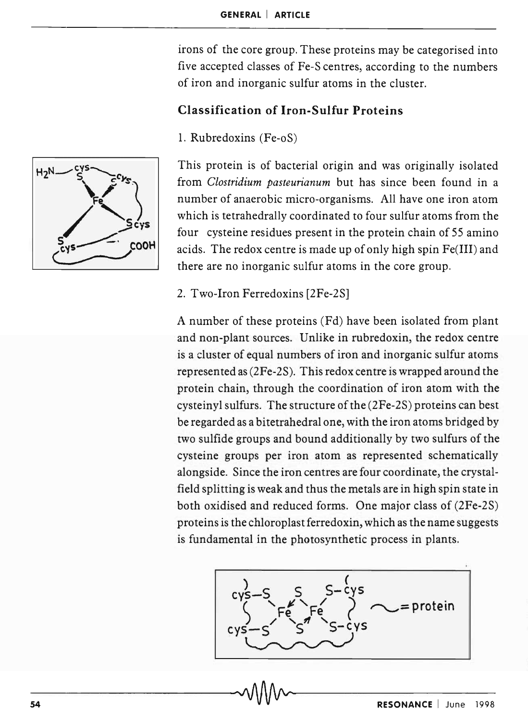irons of the core group. These proteins may be categorised into five accepted classes of Fe-S centres, according to the numbers of iron and inorganic sulfur atoms in the cluster.

# Classification of Iron-Sulfur Proteins

1. Rubredoxins (Fe-oS)



This protein is of bacterial origin and was originally isolated from *Clostridium pasteurianum* but has since been found in a number of anaerobic micro-organisms. All have one iron atom which is tetrahedrally coordinated to four sulfur atoms from the four cysteine residues present in the protein chain of 55 amino acids. The redox centre is made up of only high spin Fe(III) and there are no inorganic sulfur atoms in the core group.

### 2. Two-Iron Ferredoxins [2Fe-2S]

A number of these proteins (Fd) have been isolated from plant and non-plant sources. Unlike in rubredoxin, the redox centre is a cluster of equal numbers of iron and inorganic sulfur atoms represented as (2Fe-2S). This redox centre is wrapped around the protein chain, through the coordination of iron atom with the cysteinyl sulfurs. The structure of the (2Fe-2S) proteins can best be regarded as a bitetrahedral one, with the iron atoms bridged by two sulfide groups and bound additionally by two sulfurs of the cysteine groups per iron atom as represented schematically alongside. Since the iron centres are four coordinate, the crystalfield splitting is weak and thus the metals are in high spin state in both oxidised and reduced forms. One major class of (2Fe-2S) proteins is the chloroplast ferredoxin, which as the name suggests is fundamental in the photosynthetic process in plants.

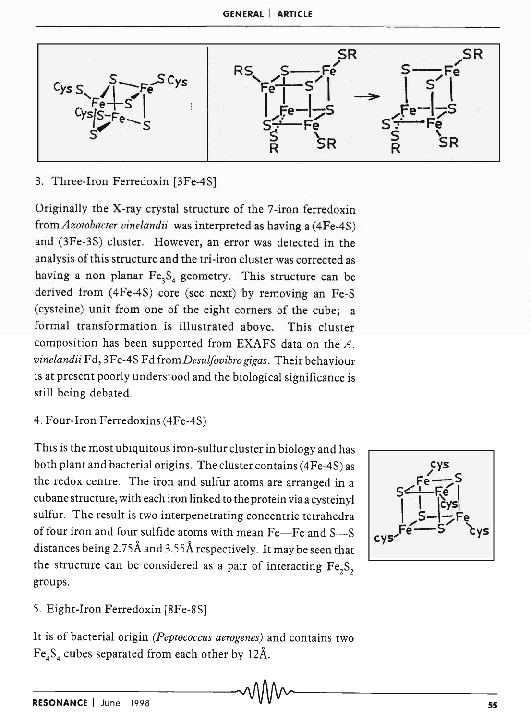

### 3. Three-Iron Ferredoxin [3Fe-4S]

Originally the X-ray crystal structure of the 7-iron ferredoxin from *Azotobacter vinelandii* was interpreted as having a (4Fe-4S) and (3Fe-3S) cluster. However, an error was detected in the analysis of this structure and the tri-iron cluster was corrected as having a non planar  $Fe_3S_4$  geometry. This structure can be derived from (4Fe-4S) core (see next) by removing an Fe-S (cysteine) unit from one of the eight corners of the cube; a formal transformation is illustrated above. This cluster composition has been supported from EXAFS data on the *A. vinelandii* Fd, 3Fe-4S Fd from *DesuLJovibro gigas.* Their behaviour is at present poorly understood and the biological significance is still being debated.

4. Four-Iron Ferredoxins (4Fe-4S)

This is the most ubiquitous iron-sulfur cluster in biology and has both plant and bacterial origins. The cluster contains (4Fe-4S) as the redox centre. The iron and sulfur atoms are arranged in a cubane structure, with each iron linked to the protein via a cysteinyl sulfur. The result is two interpenetrating concentric tetrahedra of four iron and four sulfide atoms with mean Fe-Fe and S-S distances being 2.75Å and 3.55Å respectively. It may be seen that the structure can be considered as a pair of interacting  $Fe<sub>2</sub>S<sub>2</sub>$ groups.



5. Eight-Iron Ferredoxin [8Fe-8S]

It is of bacterial origin *(Peptococcus aerogenes)* and contains two  $Fe<sub>4</sub>S<sub>4</sub>$  cubes separated from each other by 12Å.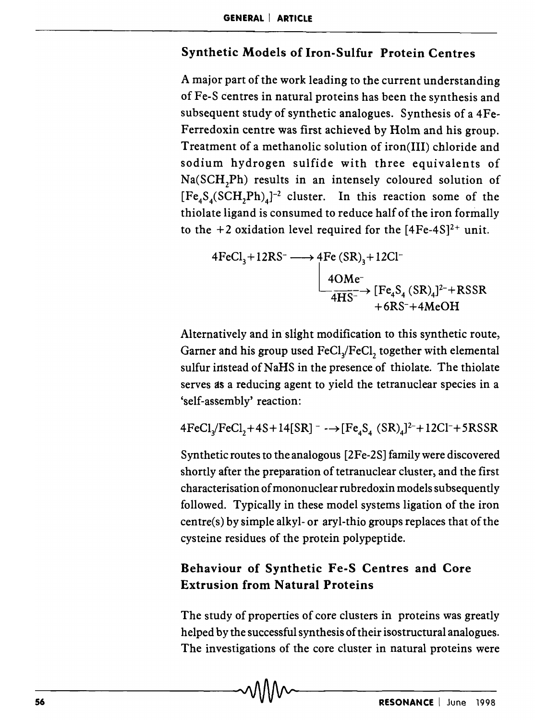# Synthetic Models of Iron-Sulfur Protein Centres

A major part of the work leading to the current understanding of Fe-S centres in natural proteins has been the synthesis and subsequent study of synthetic analogues. Synthesis of a 4Fe-Ferredoxin centre was first achieved by Holm and his group. Treatment of a methanolic solution of iron(III) chloride and sodium hydrogen sulfide with three equivalents of Na(SCH,Ph) results in an intensely coloured solution of  $[Fe<sub>4</sub>S<sub>4</sub>(SCH<sub>2</sub>Ph)<sub>4</sub>]$ <sup>-2</sup> cluster. In this reaction some of the thiolate ligand is consumed to reduce half of the iron formally to the  $+2$  oxidation level required for the  $[4Fe-4S]^2$ <sup>+</sup> unit.

$$
4FeCl3+12RS- \longrightarrow 4Fe(SR)3+12Cl-
$$
  

$$
\xrightarrow{4OMe-}{4HS-} [Fe4S4(SR)4]2+RSSR
$$
  

$$
+6RS+4MeOH
$$

Alternatively and in slight modification to this synthetic route, Garner and his group used FeCl<sub>2</sub>/FeCl<sub>2</sub> together with elemental sulfur instead of NaHS in the presence of thiolate. The thiolate serves as a reducing agent to yield the tetranuclear species in a 'self-assembly' reaction:

$$
4\text{FeCl}_3\text{/FeCl}_2 + 4\text{S} + 14[\text{SR}]^- \longrightarrow [\text{Fe}_4\text{S}_4 \text{ (SR)}_4]^{2-} + 12\text{Cl}^- + 5\text{RSSR}
$$

Synthetic routes to the analogous [2Fe-2S] family were discovered shortly after the preparation of tetranuclear cluster, and the first characterisation of mononuclear rubredoxin models subsequently followed. Typically in these model systems ligation of the iron centre(s) by simple alkyl- or aryl-thio groups replaces that of the cysteine residues of the protein polypeptide.

# Behaviour of Synthetic Fe-S Centres and Core Extrusion from Natural Proteins

The study of properties of core clusters in proteins was greatly helped by the successful synthesis of their isostructural analogues. The investigations of the core cluster in natural proteins were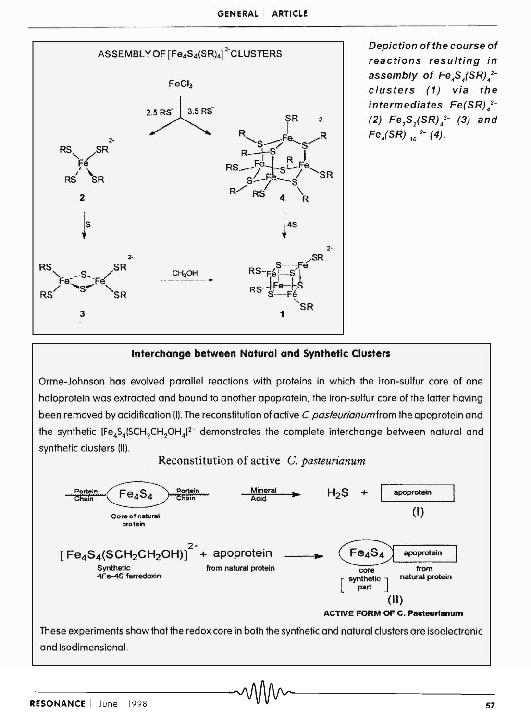

Depiction of the course of reactions resulting in assembly of  $Fe_4S_4(SR)<sub>4</sub>$ clusters (1) via the intermediates  $Fe(SR)$ .<sup>2-</sup> (2)  $Fe_2S_2(SR)_{4}^{2-}$  (3) and  $Fe<sub>4</sub>(SR)$ <sub>10</sub><sup>2-</sup> (4).

#### Interchange between Natural and Synthetic Clusters

Orme-Johnson has evolved parallel reactions with proteins in which the iron-sulfur core of one haloprotein was extracted and bound to another apoprotein, the iron-sulfur core of the latter having been removed by acidification (I). The reconstitution of active C. pasteurianum from the apoprotein and synthetic clusters (II).

Reconstitution of active C. *pasteurianum* 



and isodimensional.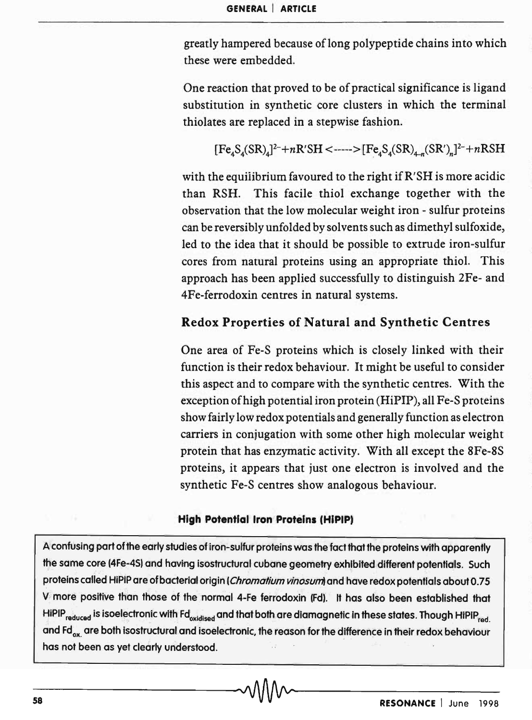greatly hampered because of long polypeptide chains into which these were embedded.

One reaction that proved to be of practical significance is ligand substitution in synthetic core clusters in which the terminal thiolates are replaced in a stepwise fashion.

 $[Fe<sub>A</sub>S<sub>A</sub>(SR)<sub>A</sub>]^{2-}+nR'SH<--->[Fe<sub>A</sub>S<sub>A</sub>(SR)<sub>+</sub>](SR')<sub>n</sub>]^{2-}+nRSH$ 

with the equilibrium favoured to the right if R'SH is more acidic than RSH. This facile thiol exchange together with the observation that the low molecular weight iron - sulfur proteins can be reversibly unfolded by solvents such as dimethyl sulfoxide, led to the idea that it should be possible to extrude iron-sulfur cores from natural proteins using an appropriate thiol. This approach has been applied successfully to distinguish 2Fe- and 4Fe-ferrodoxin centres in natural systems.

### Redox Properties of Natural and Synthetic Centres

One area of Fe-S proteins which is closely linked with their function is their redox behaviour. It might be useful to consider this aspect and to compare with the synthetic centres. With the exception of high potential iron protein (HiPIP), all Fe-S proteins show fairly low redox potentials and generally function as electron carriers in conjugation with some other high molecular weight protein that has enzymatic activity. With all except the 8Fe-8S proteins, it appears that just one electron is involved and the synthetic Fe-S centres show analogous behaviour.

#### High Potential Iron Proteins (HiPIP)

A confusing part of the early studies of iron-sulfur proteins was the fact that the proteins with apparently the same core (4Fe-4S) and having isostructural cubane geometry exhibited different potentials. Such proteins called HiPIP are of bacterial origin (Chromatium vinosum) and have redox potentials about 0.75 V more positive than those of the normal 4-Fe ferrodoxin (Fd). It has also been established that HiPIP<sub>reduced</sub> is isoelectronic with Fd<sub>oxidised</sub> and that both are diamagnetic in these states. Though HiPiP<sub>red</sub>. and Fd<sub>ox</sub>, are both isostructural and isoelectronic, the reason for the difference in their redox behaviour<br>has not been as yet clearly understood.<br> $\blacksquare$ has not been as yet cleorly understood.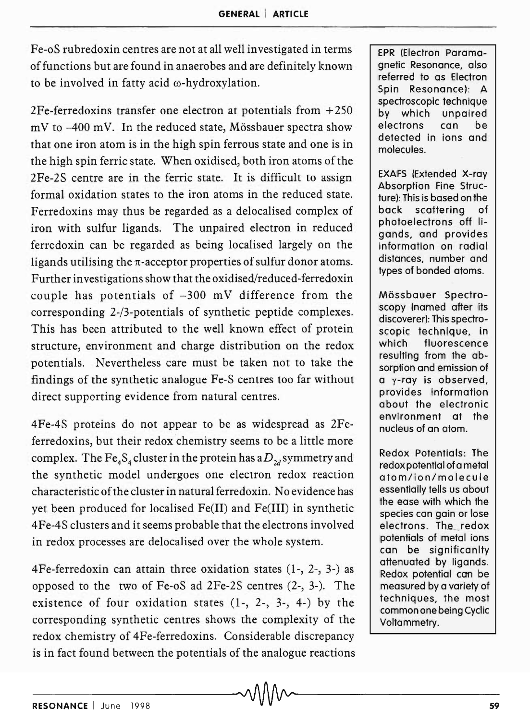Fe-oS rubredoxin centres are not at all well investigated in terms of functions but are found in anaerobes and are definitely known to be involved in fatty acid  $\omega$ -hydroxylation.

2Fe-ferredoxins transfer one electron at potentials from +250  $mV$  to  $-400$  mV. In the reduced state, Mössbauer spectra show that one iron atom is in the high spin ferrous state and one is in the high spin ferric state. When oxidised, both iron atoms of the 2Fe-2S centre are in the ferric state. It is difficult to assign formal oxidation states to the iron atoms in the reduced state. Ferredoxins may thus be regarded as a delocalised complex of iron with sulfur ligands. The unpaired electron in reduced ferredoxin can be regarded as being localised largely on the ligands utilising the  $\pi$ -acceptor properties of sulfur donor atoms. Further investigations show that the oxidised/reduced-ferredoxin couple has potentials of  $-300$  mV difference from the corresponding 2-/3-potentials of synthetic peptide complexes. This has been attributed to the well known effect of protein structure, environment and charge distribution on the redox potentials. Nevertheless care must be taken not to take the findings of the synthetic analogue Fe-S centres too far without direct supporting evidence from natural centres.

4Fe-4S proteins do not appear to be as widespread as 2Feferredoxins, but their redox chemistry seems to be a little more complex. The Fe<sub>4</sub>S<sub>4</sub> cluster in the protein has a  $D_{2d}$  symmetry and the synthetic model undergoes one electron redox reaction characteristic of the cluster in natural ferredoxin. No evidence has yet been produced for localised Fe(II) and Fe(III) in synthetic 4Fe-4S clusters and it seems probable that the electrons involved in redox processes are delocalised over the whole system.

4Fe-ferredoxin can attain three oxidation states (1-, 2-, 3-) as opposed to the two of Fe-oS ad 2Fe-2S centres (2-, 3-). The existence of four oxidation states (1-, 2-, 3-, 4-) by the corresponding synthetic centres shows the complexity of the redox chemistry of 4Fe-ferredoxins. Considerable discrepancy is in fact found between the potentials of the analogue reactions RESONANCE I June 1998 59

EPR (Electron Paramagnetic Resonance, also referred to as Electron Spin Resonance): A spectroscopic technique by which unpaired electrons can be detected in ions and molecules.

EXAFS (Extended X-ray Absorption Fine Structure): This is based on the back scattering of photoelectrons off ligands, and provides information on radial distances, number and types of bonded atoms.

Mössbauer Spectroscopy (named after its discoverer): This spectroscopic technique, in which fluorescence resulting from the absorption and emission of a y-ray is observed, provides information about the electronic environment at the nucleus of an atom.

Redox Potentials: The redox potential ofa metal atom/ion/molecule essentially tells us about the ease with which the species can gain or lose electrons. The redox potentials of metal ions can be significanlty attenuated by ligands. Redox potential con be measured by a variety of techniques, the most common one being Cyclic Voltammetry.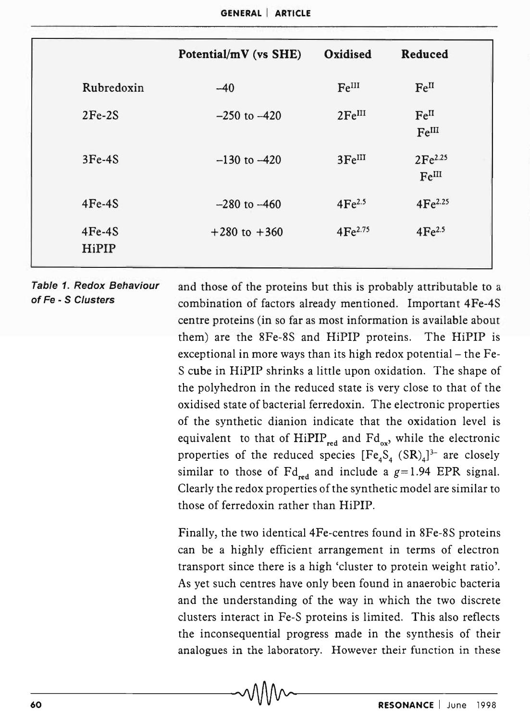|                   | Potential/mV (vs SHE) | Oxidised           | Reduced                               |
|-------------------|-----------------------|--------------------|---------------------------------------|
| Rubredoxin        | $-40$                 | Fe <sup>III</sup>  | Fe <sup>II</sup>                      |
| $2Fe-2S$          | $-250$ to $-420$      | 2Fe <sup>III</sup> | Fe <sup>II</sup><br>Fe <sup>III</sup> |
| $3Fe-4S$          | $-130$ to $-420$      | 3Fe <sup>III</sup> | 2Fe <sup>2.25</sup><br>FeIII          |
| $4Fe-4S$          | $-280$ to $-460$      | 4Fe <sup>2.5</sup> | $4Fe^{2.25}$                          |
| $4Fe-4S$<br>HiPIP | $+280$ to $+360$      | $4Fe^{2.75}$       | 4Fe <sup>2.5</sup>                    |

#### Table 1. Redox Behaviour of Fe - S Clusters

and those of the proteins but this is probably attributable to a combination of factors already mentioned. Important 4Fe-4S centre proteins (in so far as most information is available about them) are the 8Fe-8S and HiPIP proteins. The HiPIP is exceptional in more ways than its high redox potential- the Fe-S cube in HiPIP shrinks a little upon oxidation. The shape of the polyhedron in the reduced state is very close to that of the oxidised state of bacterial ferredoxin. The electronic properties of the synthetic dianion indicate that the oxidation level is equivalent to that of  $HiPIP_{red}$  and  $Fd_{ox}$ , while the electronic properties of the reduced species  $[Fe<sub>4</sub>S<sub>4</sub> (SR)<sub>4</sub>]<sup>3-</sup>$  are closely similar to those of  $\text{Fd}_{\text{red}}$  and include a  $g=1.94$  EPR signal. Clearly the redox properties of the synthetic model are similar to those of ferredoxin rather than HiPIP.

Finally, the two identical 4Fe-centres found in 8Fe-8S proteins can be a highly efficient arrangement in terms of electron transport since there is a high 'cluster to protein weight ratio'. As yet such centres have only been found in anaerobic bacteria and the understanding of the way in which the two discrete clusters interact in Fe-S proteins is limited. This also reflects the inconsequential progress made in the synthesis of their analogues in the laboratory. However their function in these